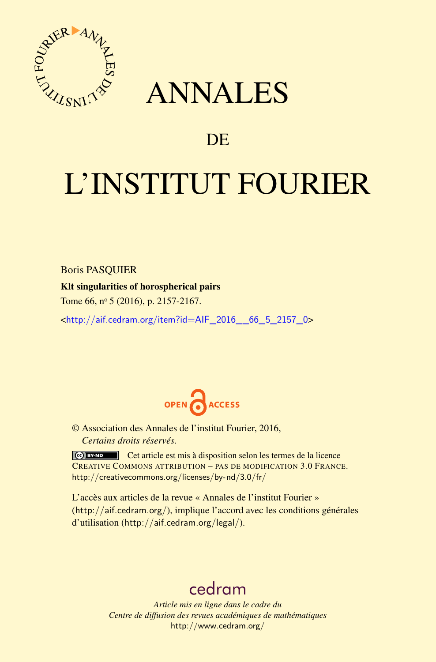

## ANNALES

### **DE**

# L'INSTITUT FOURIER

#### Boris PASQUIER

#### Klt singularities of horospherical pairs

Tome 66, nº 5 (2016), p. 2157-2167.

<[http://aif.cedram.org/item?id=AIF\\_2016\\_\\_66\\_5\\_2157\\_0](http://aif.cedram.org/item?id=AIF_2016__66_5_2157_0)>



© Association des Annales de l'institut Fourier, 2016, *Certains droits réservés.*

Cet article est mis à disposition selon les termes de la licence CREATIVE COMMONS ATTRIBUTION – PAS DE MODIFICATION 3.0 FRANCE. <http://creativecommons.org/licenses/by-nd/3.0/fr/>

L'accès aux articles de la revue « Annales de l'institut Fourier » (<http://aif.cedram.org/>), implique l'accord avec les conditions générales d'utilisation (<http://aif.cedram.org/legal/>).

## [cedram](http://www.cedram.org/)

*Article mis en ligne dans le cadre du Centre de diffusion des revues académiques de mathématiques* <http://www.cedram.org/>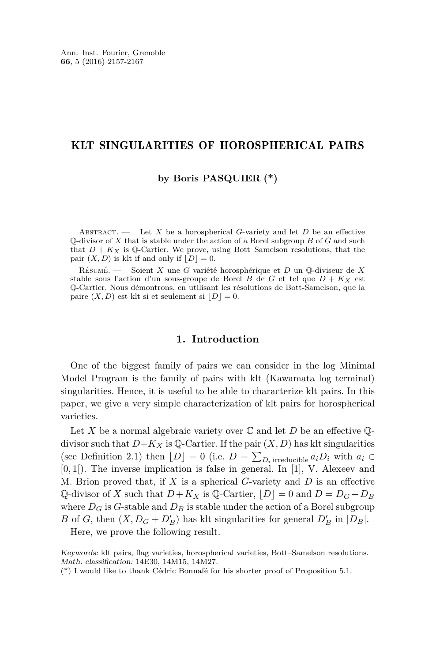#### KLT SINGULARITIES OF HOROSPHERICAL PAIRS

**by Boris PASQUIER (\*)**

Abstract. — Let *X* be a horospherical *G*-variety and let *D* be an effective Q-divisor of *X* that is stable under the action of a Borel subgroup *B* of *G* and such that  $D + K_X$  is Q-Cartier. We prove, using Bott–Samelson resolutions, that the pair  $(X, D)$  is klt if and only if  $[D] = 0$ .

Résumé. — Soient *X* une *G* variété horosphérique et *D* un Q-diviseur de *X* stable sous l'action d'un sous-groupe de Borel *B* de *G* et tel que  $D + K_X$  est Q-Cartier. Nous démontrons, en utilisant les résolutions de Bott-Samelson, que la paire  $(X, D)$  est klt si et seulement si  $|D| = 0$ .

#### **1. Introduction**

One of the biggest family of pairs we can consider in the log Minimal Model Program is the family of pairs with klt (Kawamata log terminal) singularities. Hence, it is useful to be able to characterize klt pairs. In this paper, we give a very simple characterization of klt pairs for horospherical varieties.

Let *X* be a normal algebraic variety over  $\mathbb C$  and let *D* be an effective  $\mathbb Q$ divisor such that  $D+K_X$  is Q-Cartier. If the pair  $(X, D)$  has klt singularities (see Definition [2.1\)](#page-2-0) then  $[D] = 0$  (i.e.  $D = \sum_{D_i \text{ irreducible}} a_i D_i$  with  $a_i \in$ [0*,* 1[). The inverse implication is false in general. In [\[1\]](#page-10-0), V. Alexeev and M. Brion proved that, if *X* is a spherical *G*-variety and *D* is an effective Q-divisor of *X* such that  $D + K_X$  is Q-Cartier,  $|D| = 0$  and  $D = D_G + D_B$ where  $D_G$  is G-stable and  $D_B$  is stable under the action of a Borel subgroup *B* of *G*, then  $(X, D_G + D'_B)$  has klt singularities for general  $D'_B$  in  $|D_B|$ .

Here, we prove the following result.

Keywords: klt pairs, flag varieties, horospherical varieties, Bott–Samelson resolutions. Math. classification: 14E30, 14M15, 14M27.

<sup>(\*)</sup> I would like to thank Cédric Bonnafé for his shorter proof of Proposition [5.1.](#page-9-0)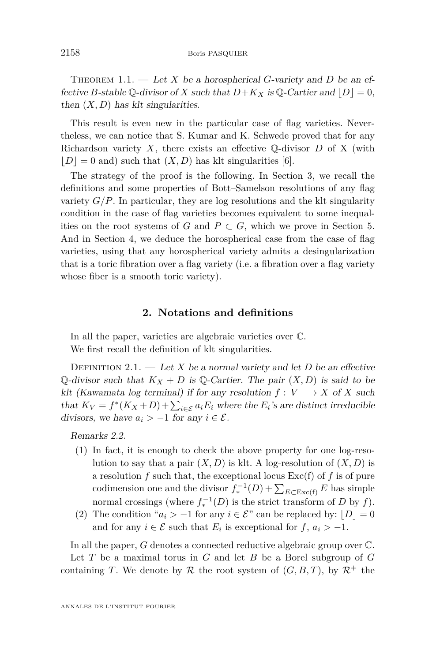THEOREM 1.1. — Let *X* be a horospherical *G*-variety and *D* be an effective *B*-stable Q-divisor of *X* such that  $D+K_X$  is Q-Cartier and  $|D|=0$ , then  $(X, D)$  has klt singularities.

This result is even new in the particular case of flag varieties. Nevertheless, we can notice that S. Kumar and K. Schwede proved that for any Richardson variety  $X$ , there exists an effective  $\mathbb{Q}$ -divisor  $D$  of X (with  $|D|=0$  and) such that  $(X, D)$  has klt singularities [\[6\]](#page-11-0).

The strategy of the proof is the following. In Section [3,](#page-3-0) we recall the definitions and some properties of Bott–Samelson resolutions of any flag variety  $G/P$ . In particular, they are log resolutions and the klt singularity condition in the case of flag varieties becomes equivalent to some inequalities on the root systems of *G* and  $P \subset G$ , which we prove in Section [5.](#page-9-1) And in Section [4,](#page-6-0) we deduce the horospherical case from the case of flag varieties, using that any horospherical variety admits a desingularization that is a toric fibration over a flag variety (i.e. a fibration over a flag variety whose fiber is a smooth toric variety).

#### **2. Notations and definitions**

<span id="page-2-1"></span>In all the paper, varieties are algebraic varieties over C. We first recall the definition of klt singularities.

<span id="page-2-0"></span>DEFINITION 2.1. — Let X be a normal variety and let D be an effective Q-divisor such that  $K_X + D$  is Q-Cartier. The pair  $(X, D)$  is said to be klt (Kawamata log terminal) if for any resolution  $f: V \longrightarrow X$  of *X* such that  $K_V = f^*(K_X + D) + \sum_{i \in \mathcal{E}} a_i E_i$  where the  $E_i$ 's are distinct irreducible divisors, we have  $a_i > -1$  for any  $i \in \mathcal{E}$ .

Remarks 2.2.

- (1) In fact, it is enough to check the above property for one log-resolution to say that a pair  $(X, D)$  is klt. A log-resolution of  $(X, D)$  is a resolution  $f$  such that, the exceptional locus  $\text{Exc}(f)$  of  $f$  is of pure codimension one and the divisor  $f_*^{-1}(D) + \sum_{E \subset \text{Exc}(f)} E$  has simple normal crossings (where  $f_*^{-1}(D)$  is the strict transform of *D* by *f*).
- (2) The condition " $a_i > -1$  for any  $i \in \mathcal{E}$ " can be replaced by:  $|D| = 0$ and for any  $i \in \mathcal{E}$  such that  $E_i$  is exceptional for  $f, a_i > -1$ .

In all the paper, *G* denotes a connected reductive algebraic group over  $\mathbb{C}$ . Let *T* be a maximal torus in *G* and let *B* be a Borel subgroup of *G* containing *T*. We denote by  $R$  the root system of  $(G, B, T)$ , by  $R^+$  the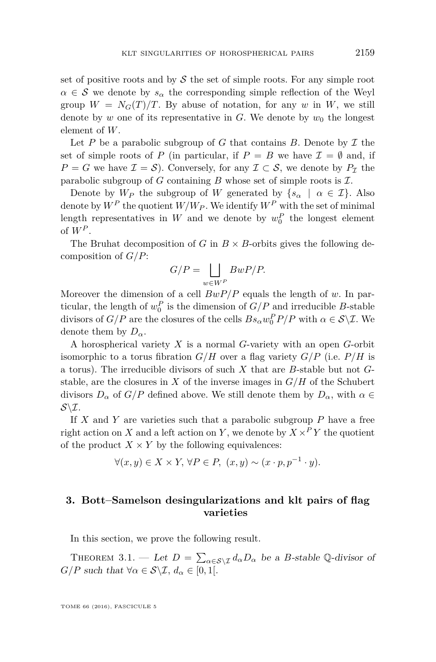set of positive roots and by  $\mathcal S$  the set of simple roots. For any simple root  $\alpha \in \mathcal{S}$  we denote by  $s_{\alpha}$  the corresponding simple reflection of the Weyl group  $W = N_G(T)/T$ . By abuse of notation, for any *w* in *W*, we still denote by *w* one of its representative in *G*. We denote by  $w_0$  the longest element of *W*.

Let  $P$  be a parabolic subgroup of  $G$  that contains  $B$ . Denote by  $\mathcal I$  the set of simple roots of *P* (in particular, if  $P = B$  we have  $\mathcal{I} = \emptyset$  and, if  $P = G$  we have  $\mathcal{I} = \mathcal{S}$ . Conversely, for any  $\mathcal{I} \subset \mathcal{S}$ , we denote by  $P_{\mathcal{I}}$  the parabolic subgroup of  $G$  containing  $B$  whose set of simple roots is  $I$ .

Denote by  $W_P$  the subgroup of W generated by  $\{s_\alpha \mid \alpha \in \mathcal{I}\}\$ . Also denote by  $W^P$  the quotient  $W/W_P$ . We identify  $W^P$  with the set of minimal length representatives in  $W$  and we denote by  $w_0^P$  the longest element of  $W^P$ .

The Bruhat decomposition of *G* in  $B \times B$ -orbits gives the following decomposition of *G/P*:

$$
G/P = \bigsqcup_{w \in W^P} BwP/P.
$$

Moreover the dimension of a cell *BwP/P* equals the length of *w*. In particular, the length of  $w_0^P$  is the dimension of  $G/P$  and irreducible *B*-stable divisors of  $G/P$  are the closures of the cells  $Bs_{\alpha}w_0^P P/P$  with  $\alpha \in \mathcal{S}\backslash\mathcal{I}$ . We denote them by  $D_{\alpha}$ .

A horospherical variety *X* is a normal *G*-variety with an open *G*-orbit isomorphic to a torus fibration  $G/H$  over a flag variety  $G/P$  (i.e.  $P/H$  is a torus). The irreducible divisors of such *X* that are *B*-stable but not *G*stable, are the closures in  $X$  of the inverse images in  $G/H$  of the Schubert divisors  $D_{\alpha}$  of  $G/P$  defined above. We still denote them by  $D_{\alpha}$ , with  $\alpha \in$  $S\backslash\mathcal{I}$ .

If *X* and *Y* are varieties such that a parabolic subgroup *P* have a free right action on *X* and a left action on *Y*, we denote by  $X \times P Y$  the quotient of the product  $X \times Y$  by the following equivalences:

$$
\forall (x, y) \in X \times Y, \forall P \in P, \ (x, y) \sim (x \cdot p, p^{-1} \cdot y).
$$

#### <span id="page-3-0"></span>**3. Bott–Samelson desingularizations and klt pairs of flag varieties**

In this section, we prove the following result.

<span id="page-3-1"></span>THEOREM 3.1. — Let  $D = \sum_{\alpha \in \mathcal{S} \setminus \mathcal{I}} d_{\alpha} D_{\alpha}$  be a *B*-stable Q-divisor of *G*/*P* such that  $\forall \alpha \in S \setminus I$ ,  $d_{\alpha} \in [0,1].$ 

TOME 66 (2016), FASCICULE 5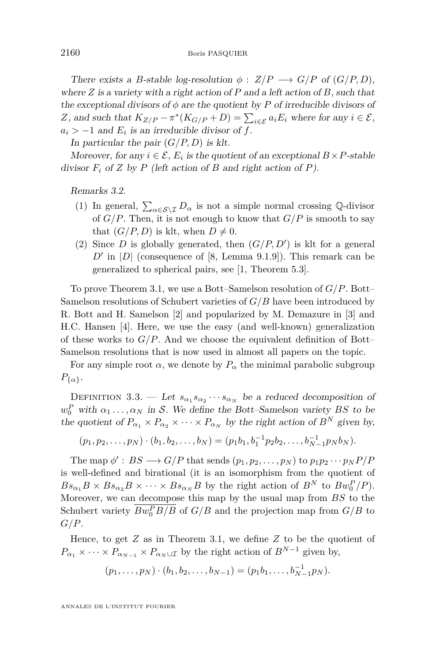There exists a *B*-stable log-resolution  $\phi$  :  $Z/P \longrightarrow G/P$  of  $(G/P, D)$ , where *Z* is a variety with a right action of *P* and a left action of *B*, such that the exceptional divisors of  $\phi$  are the quotient by  $P$  of irreducible divisors of *Z*, and such that  $K_{Z/P} - \pi^*(K_{G/P} + D) = \sum_{i \in \mathcal{E}} a_i E_i$  where for any  $i \in \mathcal{E}$ ,  $a_i$  > −1 and  $E_i$  is an irreducible divisor of *f*.

In particular the pair  $(G/P, D)$  is klt.

Moreover, for any  $i \in \mathcal{E}$ ,  $E_i$  is the quotient of an exceptional  $B \times P$ -stable divisor  $F_i$  of *Z* by *P* (left action of *B* and right action of *P*).

Remarks 3.2.

- (1) In general,  $\sum_{\alpha \in \mathcal{S} \setminus \mathcal{I}} D_{\alpha}$  is not a simple normal crossing Q-divisor of  $G/P$ . Then, it is not enough to know that  $G/P$  is smooth to say that  $(G/P, D)$  is klt, when  $D \neq 0$ .
- (2) Since  $D$  is globally generated, then  $(G/P, D')$  is klt for a general  $D'$  in  $|D|$  (consequence of [\[8,](#page-11-1) Lemma 9.1.9]). This remark can be generalized to spherical pairs, see [\[1,](#page-10-0) Theorem 5.3].

To prove Theorem [3.1,](#page-3-1) we use a Bott–Samelson resolution of *G/P*. Bott– Samelson resolutions of Schubert varieties of *G/B* have been introduced by R. Bott and H. Samelson [\[2\]](#page-11-2) and popularized by M. Demazure in [\[3\]](#page-11-3) and H.C. Hansen [\[4\]](#page-11-4). Here, we use the easy (and well-known) generalization of these works to  $G/P$ . And we choose the equivalent definition of Bott– Samelson resolutions that is now used in almost all papers on the topic.

For any simple root  $\alpha$ , we denote by  $P_{\alpha}$  the minimal parabolic subgroup  $P_{\{\alpha\}}$ .

DEFINITION 3.3. — Let  $s_{\alpha_1} s_{\alpha_2} \cdots s_{\alpha_N}$  be a reduced decomposition of  $w_0^P$  with  $\alpha_1 \ldots, \alpha_N$  in S. We define the Bott–Samelson variety *BS* to be the quotient of  $P_{\alpha_1} \times P_{\alpha_2} \times \cdots \times P_{\alpha_N}$  by the right action of  $B^N$  given by,

$$
(p_1, p_2, \ldots, p_N) \cdot (b_1, b_2, \ldots, b_N) = (p_1b_1, b_1^{-1}p_2b_2, \ldots, b_{N-1}^{-1}p_Nb_N).
$$

The map  $\phi' : BS \longrightarrow G/P$  that sends  $(p_1, p_2, \ldots, p_N)$  to  $p_1 p_2 \cdots p_N P/P$ is well-defined and birational (it is an isomorphism from the quotient of  $Bs_{\alpha_1}B \times Bs_{\alpha_2}B \times \cdots \times Bs_{\alpha_N}B$  by the right action of  $B^N$  to  $Bw_0^P/P$ ). Moreover, we can decompose this map by the usual map from *BS* to the Schubert variety  $Bw_0^P B/B$  of  $G/B$  and the projection map from  $G/B$  to *G/P*.

Hence, to get *Z* as in Theorem [3.1,](#page-3-1) we define *Z* to be the quotient of  $P_{\alpha_1} \times \cdots \times P_{\alpha_{N-1}} \times P_{\alpha_N \cup \mathcal{I}}$  by the right action of  $B^{N-1}$  given by,

$$
(p_1,\ldots,p_N)\cdot (b_1,b_2,\ldots,b_{N-1})=(p_1b_1,\ldots,b_{N-1}^{-1}p_N).
$$

ANNALES DE L'INSTITUT FOURIER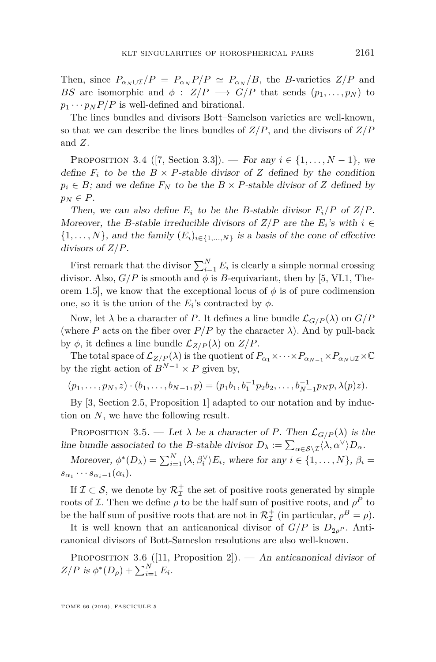Then, since  $P_{\alpha_N \cup I}/P = P_{\alpha_N}P/P \simeq P_{\alpha_N}/B$ , the *B*-varieties  $Z/P$  and *BS* are isomorphic and  $\phi$  : *Z*/*P*  $\longrightarrow$  *G*/*P* that sends  $(p_1, \ldots, p_N)$  to  $p_1 \cdots p_N P/P$  is well-defined and birational.

The lines bundles and divisors Bott–Samelson varieties are well-known, so that we can describe the lines bundles of *Z/P*, and the divisors of *Z/P* and *Z*.

<span id="page-5-2"></span>PROPOSITION 3.4 ([\[7,](#page-11-5) Section 3.3]). — For any  $i \in \{1, ..., N-1\}$ , we define  $F_i$  to be the  $B \times P$ -stable divisor of *Z* defined by the condition  $p_i \in B$ ; and we define  $F_N$  to be the  $B \times P$ -stable divisor of *Z* defined by  $p_N \in P$ .

Then, we can also define  $E_i$  to be the *B*-stable divisor  $F_i/P$  of  $Z/P$ . Moreover, the *B*-stable irreducible divisors of  $Z/P$  are the  $E_i$ 's with  $i \in$  $\{1, \ldots, N\}$ , and the family  $(E_i)_{i \in \{1, \ldots, N\}}$  is a basis of the cone of effective divisors of *Z/P*.

First remark that the divisor  $\sum_{i=1}^{N} E_i$  is clearly a simple normal crossing divisor. Also,  $G/P$  is smooth and  $\phi$  is *B*-equivariant, then by [\[5,](#page-11-6) VI.1, Theorem 1.5], we know that the exceptional locus of  $\phi$  is of pure codimension one, so it is the union of the  $E_i$ 's contracted by  $\phi$ .

Now, let  $\lambda$  be a character of P. It defines a line bundle  $\mathcal{L}_{G/P}(\lambda)$  on  $G/P$ (where *P* acts on the fiber over  $P/P$  by the character  $\lambda$ ). And by pull-back by  $\phi$ , it defines a line bundle  $\mathcal{L}_{Z/P}(\lambda)$  on  $Z/P$ .

The total space of  $\mathcal{L}_{Z/P}(\lambda)$  is the quotient of  $P_{\alpha_1} \times \cdots \times P_{\alpha_{N-1}} \times P_{\alpha_N \cup \mathcal{I}} \times \mathbb{C}$ by the right action of  $B^{N-1} \times P$  given by,

 $(p_1, \ldots, p_N, z) \cdot (b_1, \ldots, b_{N-1}, p) = (p_1b_1, b_1^{-1}p_2b_2, \ldots, b_{N-1}^{-1}p_Np, \lambda(p)z).$ 

By [\[3,](#page-11-3) Section 2.5, Proposition 1] adapted to our notation and by induction on *N*, we have the following result.

<span id="page-5-0"></span>PROPOSITION 3.5. — Let  $\lambda$  be a character of *P*. Then  $\mathcal{L}_{G/P}(\lambda)$  is the line bundle associated to the *B*-stable divisor  $D_{\lambda} := \sum_{\alpha \in S \setminus \mathcal{I}} \langle \lambda, \alpha^{\vee} \rangle D_{\alpha}$ .

Moreover,  $\phi^*(D_\lambda) = \sum_{i=1}^N \langle \lambda, \beta_i^\vee \rangle E_i$ , where for any  $i \in \{1, ..., N\}, \beta_i =$  $s_{\alpha_1}\cdots s_{\alpha_i-1}(\alpha_i).$ 

If  $\mathcal{I} \subset \mathcal{S}$ , we denote by  $\mathcal{R}^+_{\mathcal{I}}$  the set of positive roots generated by simple roots of *I*. Then we define  $\rho$  to be the half sum of positive roots, and  $\rho^P$  to be the half sum of positive roots that are not in  $\mathcal{R}^+_{\mathcal{I}}$  (in particular,  $\rho^B = \rho$ ).

It is well known that an anticanonical divisor of  $G/P$  is  $D_{2\rho}P$ . Anticanonical divisors of Bott-Sameslon resolutions are also well-known.

<span id="page-5-1"></span>PROPOSITION 3.6 ([\[11,](#page-11-7) Proposition 2]). — An anticanonical divisor of  $Z/P$  is  $\phi^*(D_\rho) + \sum_{i=1}^N E_i$ .

TOME 66 (2016), FASCICULE 5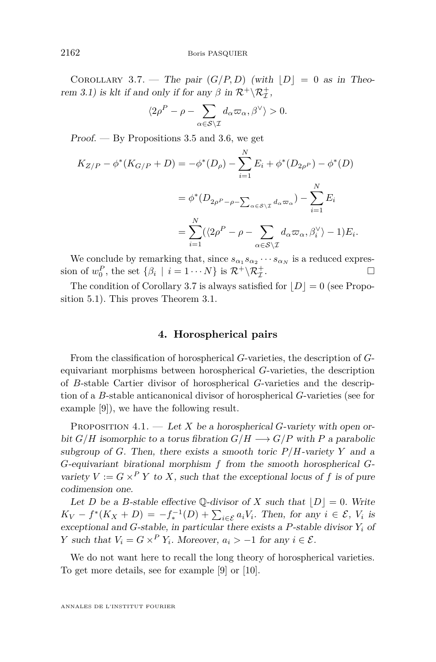<span id="page-6-1"></span>COROLLARY 3.7. — The pair  $(G/P, D)$  (with  $|D| = 0$  as in Theo-rem [3.1\)](#page-3-1) is klt if and only if for any  $\beta$  in  $\mathcal{R}^+ \backslash \mathcal{R}^+_{\mathcal{I}}$ ,

$$
\langle 2\rho^P - \rho - \sum_{\alpha \in \mathcal{S} \backslash \mathcal{I}} d_{\alpha} \varpi_{\alpha}, \beta^{\vee} \rangle > 0.
$$

Proof.  $-$  By Propositions [3.5](#page-5-0) and [3.6,](#page-5-1) we get

$$
K_{Z/P} - \phi^*(K_{G/P} + D) = -\phi^*(D_\rho) - \sum_{i=1}^N E_i + \phi^*(D_{2\rho^P}) - \phi^*(D)
$$
  

$$
= \phi^*(D_{2\rho^P - \rho - \sum_{\alpha \in S \setminus \mathcal{I}} d_\alpha \varpi_\alpha}) - \sum_{i=1}^N E_i
$$
  

$$
= \sum_{i=1}^N (\langle 2\rho^P - \rho - \sum_{\alpha \in S \setminus \mathcal{I}} d_\alpha \varpi_\alpha, \beta_i^\vee \rangle - 1) E_i.
$$

We conclude by remarking that, since  $s_{\alpha_1} s_{\alpha_2} \cdots s_{\alpha_N}$  is a reduced expression of  $w_0^P$ , the set  $\{\beta_i \mid i = 1 \cdots N\}$  is  $\mathcal{R}^+ \backslash \mathcal{R}^+_{\mathcal{I}}$ . — Первый процесс в постановки программа в серверном становки производительно становки производите с производ<br>В серверном становки производительно становки производительно становки производительно становки производительн

The condition of Corollary [3.7](#page-6-1) is always satisfied for  $|D|=0$  (see Proposition [5.1\)](#page-9-0). This proves Theorem [3.1.](#page-3-1)

#### **4. Horospherical pairs**

<span id="page-6-0"></span>From the classification of horospherical *G*-varieties, the description of *G*equivariant morphisms between horospherical *G*-varieties, the description of *B*-stable Cartier divisor of horospherical *G*-varieties and the description of a *B*-stable anticanonical divisor of horospherical *G*-varieties (see for example [\[9\]](#page-11-8)), we have the following result.

<span id="page-6-2"></span>PROPOSITION 4.1. — Let *X* be a horospherical *G*-variety with open orbit  $G/H$  isomorphic to a torus fibration  $G/H \longrightarrow G/P$  with P a parabolic subgroup of *G*. Then, there exists a smooth toric  $P/H$ -variety *Y* and a *G*-equivariant birational morphism *f* from the smooth horospherical *G*variety  $V := G \times^P Y$  to *X*, such that the exceptional locus of f is of pure codimension one.

Let *D* be a *B*-stable effective Q-divisor of *X* such that  $|D| = 0$ . Write  $K_V - f^*(K_X + D) = -f_*^{-1}(D) + \sum_{i \in \mathcal{E}} a_i V_i$ . Then, for any  $i \in \mathcal{E}$ ,  $V_i$  is exceptional and *G*-stable, in particular there exists a *P*-stable divisor *Y<sup>i</sup>* of *Y* such that  $V_i = G \times^P Y_i$ . Moreover,  $a_i > -1$  for any  $i \in \mathcal{E}$ .

We do not want here to recall the long theory of horospherical varieties. To get more details, see for example [\[9\]](#page-11-8) or [\[10\]](#page-11-9).

ANNALES DE L'INSTITUT FOURIER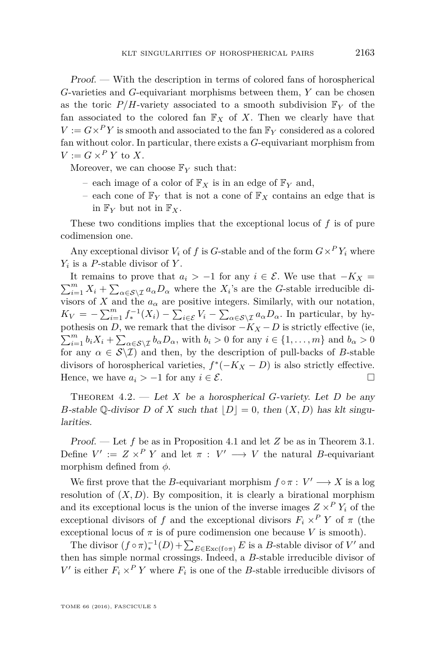Proof. — With the description in terms of colored fans of horospherical *G*-varieties and *G*-equivariant morphisms between them, *Y* can be chosen as the toric  $P/H$ -variety associated to a smooth subdivision  $\mathbb{F}_Y$  of the fan associated to the colored fan  $\mathbb{F}_X$  of X. Then we clearly have that  $V := G \times P$ *Y* is smooth and associated to the fan  $\mathbb{F}_Y$  considered as a colored fan without color. In particular, there exists a *G*-equivariant morphism from  $V := G \times^P Y$  to *X*.

Moreover, we can choose  $\mathbb{F}_Y$  such that:

- each image of a color of  $\mathbb{F}_X$  is in an edge of  $\mathbb{F}_Y$  and,
- each cone of  $\mathbb{F}_Y$  that is not a cone of  $\mathbb{F}_X$  contains an edge that is in  $\mathbb{F}_Y$  but not in  $\mathbb{F}_X$ .

These two conditions implies that the exceptional locus of *f* is of pure codimension one.

Any exceptional divisor  $V_i$  of  $f$  is  $G$ -stable and of the form  $G \times^P Y_i$  where *Yi* is a *P*-stable divisor of *Y* .

It remains to prove that  $a_i$  > −1 for any  $i \in \mathcal{E}$ . We use that −*K<sub>X</sub>* =  $\sum_{i=1}^{m} X_i + \sum_{\alpha \in \mathcal{S} \setminus \mathcal{I}} a_{\alpha} D_{\alpha}$  where the *X*<sub>*i*</sub>'s are the *G*-stable irreducible divisors of *X* and the  $a_{\alpha}$  are positive integers. Similarly, with our notation,  $K_V = -\sum_{i=1}^m f_*^{-1}(X_i) - \sum_{i \in \mathcal{E}} V_i - \sum_{\alpha \in \mathcal{S} \setminus \mathcal{I}} a_\alpha D_\alpha$ . In particular, by hypothesis on *D*, we remark that the divisor  $-K_X - D$  is strictly effective (ie,  $\sum_{i=1}^{m} b_i X_i + \sum_{\alpha \in \mathcal{S} \setminus \mathcal{I}} b_{\alpha} D_{\alpha}$ , with  $b_i > 0$  for any  $i \in \{1, ..., m\}$  and  $b_{\alpha} > 0$ for any  $\alpha \in \mathcal{S}\backslash\mathcal{I}$  and then, by the description of pull-backs of *B*-stable divisors of horospherical varieties,  $f^*(-K_X - D)$  is also strictly effective. Hence, we have  $a_i > -1$  for any  $i \in \mathcal{E}$ .

THEOREM  $4.2.$  — Let *X* be a horospherical *G*-variety. Let *D* be any *B*-stable Q-divisor *D* of *X* such that  $|D| = 0$ , then  $(X, D)$  has klt singularities.

Proof. — Let *f* be as in Proposition [4.1](#page-6-2) and let *Z* be as in Theorem [3.1.](#page-3-1) Define  $V' := Z \times^P Y$  and let  $\pi : V' \longrightarrow V$  the natural *B*-equivariant morphism defined from *φ*.

We first prove that the *B*-equivariant morphism  $f \circ \pi : V' \longrightarrow X$  is a log resolution of  $(X, D)$ . By composition, it is clearly a birational morphism and its exceptional locus is the union of the inverse images  $Z \times^P Y_i$  of the exceptional divisors of *f* and the exceptional divisors  $F_i \times^P Y$  of  $\pi$  (the exceptional locus of  $\pi$  is of pure codimension one because *V* is smooth).

The divisor  $(f \circ \pi)_*^{-1}(D) + \sum_{E \in \text{Exc}(f \circ \pi)} E$  is a *B*-stable divisor of *V'* and then has simple normal crossings. Indeed, a *B*-stable irreducible divisor of  $V'$  is either  $F_i \times^P Y$  where  $F_i$  is one of the *B*-stable irreducible divisors of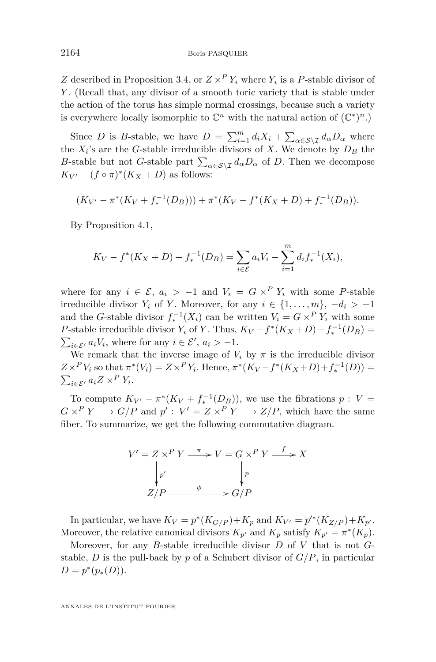*Z* described in Proposition [3.4,](#page-5-2) or  $Z \times^P Y_i$  where  $Y_i$  is a *P*-stable divisor of *Y* . (Recall that, any divisor of a smooth toric variety that is stable under the action of the torus has simple normal crossings, because such a variety is everywhere locally isomorphic to  $\mathbb{C}^n$  with the natural action of  $(\mathbb{C}^*)^n$ .)

Since *D* is *B*-stable, we have  $D = \sum_{i=1}^{m} d_i X_i + \sum_{\alpha \in S \setminus \mathcal{I}} d_{\alpha} D_{\alpha}$  where the *X<sup>i</sup>* 's are the *G*-stable irreducible divisors of *X*. We denote by *D<sup>B</sup>* the *B*-stable but not *G*-stable part  $\sum_{\alpha \in S \setminus \mathcal{I}} d_{\alpha} D_{\alpha}$  of *D*. Then we decompose  $K_{V'} - (f \circ \pi)^*(K_X + D)$  as follows:

$$
(K_{V'} - \pi^*(K_V + f_*^{-1}(D_B))) + \pi^*(K_V - f^*(K_X + D) + f_*^{-1}(D_B)).
$$

By Proposition [4.1,](#page-6-2)

$$
K_V - f^*(K_X + D) + f_*^{-1}(D_B) = \sum_{i \in \mathcal{E}} a_i V_i - \sum_{i=1}^m d_i f_*^{-1}(X_i),
$$

where for any  $i \in \mathcal{E}$ ,  $a_i > -1$  and  $V_i = G \times^P Y_i$  with some *P*-stable irreducible divisor  $Y_i$  of  $Y$ . Moreover, for any  $i \in \{1, \ldots, m\}, -d_i > -1$ and the *G*-stable divisor  $f_*^{-1}(X_i)$  can be written  $V_i = G \times^P Y_i$  with some *P*-stable irreducible divisor *Y*<sub>*i*</sub> of *Y*. Thus,  $K_V - f^*(K_X + D) + f_*^{-1}(D_B) =$  $\sum_{i \in \mathcal{E}'} a_i V_i$ , where for any  $i \in \mathcal{E}'$ ,  $a_i > -1$ .

We remark that the inverse image of  $V_i$  by  $\pi$  is the irreducible divisor  $Z \times^P V_i$  so that  $\pi^*(V_i) = Z \times^P Y_i$ . Hence,  $\pi^*(K_V - f^*(K_X + D) + f_*^{-1}(D)) =$  $\sum_{i \in \mathcal{E}'} a_i Z \times^P Y_i$ .

To compute  $K_{V'} - \pi^*(K_V + f_*^{-1}(D_B))$ , we use the fibrations  $p: V =$  $G \times^P Y \longrightarrow G/P$  and  $p' : V' = Z \times^P Y \longrightarrow Z/P$ , which have the same fiber. To summarize, we get the following commutative diagram.

$$
V' = Z \times^P Y \xrightarrow{\pi} V = G \times^P Y \xrightarrow{f} X
$$
  
\n
$$
\downarrow p'
$$
  
\n
$$
Z/P \xrightarrow{\phi} G/P
$$

In particular, we have  $K_V = p^*(K_{G/P}) + K_p$  and  $K_{V'} = p'^*(K_{Z/P}) + K_{p'}$ . Moreover, the relative canonical divisors  $K_{p'}$  and  $K_p$  satisfy  $K_{p'} = \pi^*(K_p)$ .

Moreover, for any *B*-stable irreducible divisor *D* of *V* that is not *G*stable, *D* is the pull-back by *p* of a Schubert divisor of *G/P*, in particular  $D = p^*(p_*(D)).$ 

ANNALES DE L'INSTITUT FOURIER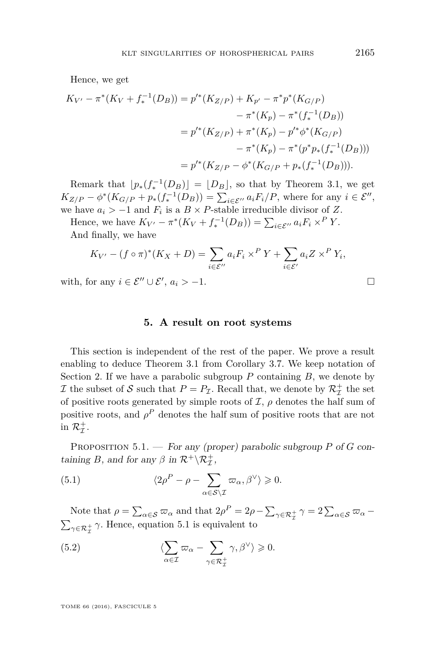Hence, we get

$$
K_{V'} - \pi^*(K_V + f_*^{-1}(D_B)) = p'^*(K_{Z/P}) + K_{p'} - \pi^*p^*(K_{G/P})
$$
  

$$
- \pi^*(K_p) - \pi^*(f_*^{-1}(D_B))
$$
  

$$
= p'^*(K_{Z/P}) + \pi^*(K_p) - p'^*\phi^*(K_{G/P})
$$
  

$$
- \pi^*(K_p) - \pi^*(p^*p_*(f_*^{-1}(D_B)))
$$
  

$$
= p'^*(K_{Z/P} - \phi^*(K_{G/P} + p_*(f_*^{-1}(D_B))).
$$

Remark that  $\lfloor p_*(f_*^{-1}(D_B)) \rfloor = \lfloor D_B \rfloor$ , so that by Theorem [3.1,](#page-3-1) we get  $K_{Z/P} - \phi^*(K_{G/P} + p_*(f_*^{-1}(D_B)) = \sum_{i \in \mathcal{E}''} a_i F_i/P$ , where for any  $i \in \mathcal{E}''$ , we have  $a_i$  >  $-1$  and  $F_i$  is a  $B \times P$ -stable irreducible divisor of *Z*.

Hence, we have  $K_{V'} - \pi^*(K_V + f_*^{-1}(D_B)) = \sum_{i \in \mathcal{E}''} a_i F_i \times^P Y$ . And finally, we have

$$
K_{V'} - (f \circ \pi)^*(K_X + D) = \sum_{i \in \mathcal{E}''} a_i F_i \times^P Y + \sum_{i \in \mathcal{E}'} a_i Z \times^P Y_i,
$$

with, for any  $i \in \mathcal{E}'' \cup \mathcal{E}', a_i > -1.$ 

#### **5. A result on root systems**

<span id="page-9-1"></span>This section is independent of the rest of the paper. We prove a result enabling to deduce Theorem [3.1](#page-3-1) from Corollary [3.7.](#page-6-1) We keep notation of Section [2.](#page-2-1) If we have a parabolic subgroup *P* containing *B*, we denote by If the subset of S such that  $P = P_{\mathcal{I}}$ . Recall that, we denote by  $\mathcal{R}_{\mathcal{I}}^+$  the set of positive roots generated by simple roots of  $I$ ,  $\rho$  denotes the half sum of positive roots, and  $\rho^P$  denotes the half sum of positive roots that are not in  $\mathcal{R}^+_{\mathcal{I}}$ .

<span id="page-9-0"></span>Proposition 5.1. — For any (proper) parabolic subgroup *P* of *G* containing *B*, and for any  $\beta$  in  $\mathcal{R}^+ \backslash \mathcal{R}^+_{\mathcal{I}}$ ,

<span id="page-9-2"></span>(5.1) 
$$
\langle 2\rho^P - \rho - \sum_{\alpha \in \mathcal{S} \setminus \mathcal{I}} \varpi_\alpha, \beta^\vee \rangle \geq 0.
$$

Note that  $\rho = \sum_{\alpha \in S} \varpi_{\alpha}$  and that  $2\rho^P = 2\rho - \sum_{\gamma \in R_{\mathcal{I}}^+} \gamma = 2 \sum_{\alpha \in S} \varpi_{\alpha} \sum_{\gamma \in \mathcal{R}_{\mathcal{I}}^{+}} \gamma$ . Hence, equation [5.1](#page-9-2) is equivalent to

<span id="page-9-3"></span>(5.2) 
$$
\langle \sum_{\alpha \in \mathcal{I}} \varpi_{\alpha} - \sum_{\gamma \in \mathcal{R}_{\mathcal{I}}^+} \gamma, \beta^{\vee} \rangle \geq 0.
$$

TOME 66 (2016), FASCICULE 5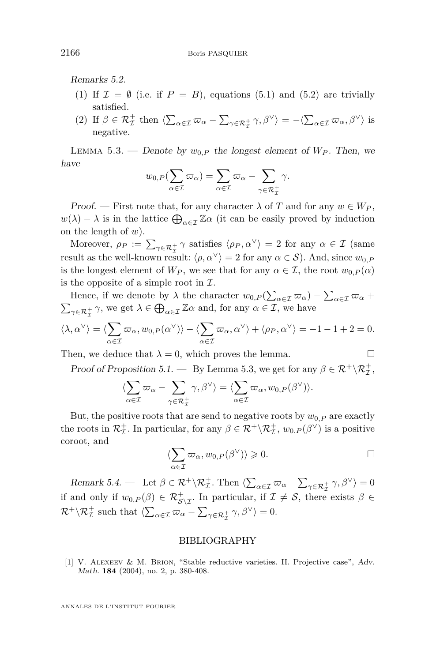Remarks 5.2.

- (1) If  $\mathcal{I} = \emptyset$  (i.e. if  $P = B$ ), equations [\(5.1\)](#page-9-2) and [\(5.2\)](#page-9-3) are trivially satisfied.
- (2) If  $\beta \in \mathcal{R}_{\mathcal{I}}^+$  then  $\langle \sum_{\alpha \in \mathcal{I}} \varpi_\alpha \sum_{\gamma \in \mathcal{R}_{\mathcal{I}}^+} \gamma, \beta^\vee \rangle = -\langle \sum_{\alpha \in \mathcal{I}} \varpi_\alpha, \beta^\vee \rangle$  is negative.

<span id="page-10-1"></span>LEMMA 5.3. — Denote by  $w_{0,P}$  the longest element of  $W_P$ . Then, we have

$$
w_{0,P}(\sum_{\alpha \in \mathcal{I}} \varpi_\alpha) = \sum_{\alpha \in \mathcal{I}} \varpi_\alpha - \sum_{\gamma \in \mathcal{R}^+_{\mathcal{I}}} \gamma.
$$

Proof. — First note that, for any character  $\lambda$  of *T* and for any  $w \in W_P$ ,  $w(\lambda) - \lambda$  is in the lattice  $\bigoplus_{\alpha \in \mathcal{I}} \mathbb{Z}\alpha$  (it can be easily proved by induction on the length of *w*).

Moreover,  $\rho_P := \sum_{\gamma \in \mathcal{R}^+_{\mathcal{I}}} \gamma$  satisfies  $\langle \rho_P, \alpha^{\vee} \rangle = 2$  for any  $\alpha \in \mathcal{I}$  (same result as the well-known result:  $\langle \rho, \alpha^{\vee} \rangle = 2$  for any  $\alpha \in S$ ). And, since  $w_{0,P}$ is the longest element of  $W_P$ , we see that for any  $\alpha \in \mathcal{I}$ , the root  $w_{0,P}(\alpha)$ is the opposite of a simple root in  $\mathcal{I}$ .

Hence, if we denote by  $\lambda$  the character  $w_{0,P}(\sum_{\alpha \in \mathcal{I}} \varpi_\alpha) - \sum_{\alpha \in \mathcal{I}} \varpi_\alpha +$  $\sum_{\gamma \in \mathcal{R}_{\mathcal{I}}^+} \gamma$ , we get  $\lambda \in \bigoplus_{\alpha \in \mathcal{I}} \mathbb{Z}\alpha$  and, for any  $\alpha \in \mathcal{I}$ , we have

$$
\langle \lambda, \alpha^{\vee} \rangle = \langle \sum_{\alpha \in \mathcal{I}} \varpi_{\alpha}, w_{0,P}(\alpha^{\vee}) \rangle - \langle \sum_{\alpha \in \mathcal{I}} \varpi_{\alpha}, \alpha^{\vee} \rangle + \langle \rho_{P}, \alpha^{\vee} \rangle = -1 - 1 + 2 = 0.
$$

Then, we deduce that  $\lambda = 0$ , which proves the lemma.

Proof of Proposition [5.1.](#page-9-0) — By Lemma [5.3,](#page-10-1) we get for any  $\beta \in \mathcal{R}^+ \backslash \mathcal{R}^+_{\mathcal{I}}$ ,

$$
\langle \sum_{\alpha \in \mathcal{I}} \varpi_{\alpha} - \sum_{\gamma \in \mathcal{R}_{\mathcal{I}}^+} \gamma, \beta^{\vee} \rangle = \langle \sum_{\alpha \in \mathcal{I}} \varpi_{\alpha}, w_{0,P}(\beta^{\vee}) \rangle.
$$

But, the positive roots that are send to negative roots by  $w_{0,P}$  are exactly the roots in  $\mathcal{R}_{\mathcal{I}}^+$ . In particular, for any  $\beta \in \mathcal{R}^+ \setminus \mathcal{R}_{\mathcal{I}}^+$ ,  $w_{0,P}(\beta^{\vee})$  is a positive coroot, and

$$
\langle \sum_{\alpha \in \mathcal{I}} \varpi_{\alpha}, w_{0,P}(\beta^{\vee}) \rangle \geqslant 0. \square
$$

Remark 5.4. — Let  $\beta \in \mathcal{R}^+ \backslash \mathcal{R}^+_{\mathcal{I}}$ . Then  $\langle \sum_{\alpha \in \mathcal{I}} \varpi_\alpha - \sum_{\gamma \in \mathcal{R}^+_{\mathcal{I}}} \gamma, \beta^\vee \rangle = 0$ if and only if  $w_{0,P}(\beta) \in \mathcal{R}_{\mathcal{S}\setminus\mathcal{I}}^+$ . In particular, if  $\mathcal{I} \neq \mathcal{S}$ , there exists  $\beta \in$  $\mathcal{R}^+ \backslash \mathcal{R}^+_{\mathcal{I}}$  such that  $\langle \sum_{\alpha \in \mathcal{I}} \varpi_\alpha - \sum_{\gamma \in \mathcal{R}^+_{\mathcal{I}}} \gamma, \beta^\vee \rangle = 0.$ 

#### BIBLIOGRAPHY

<span id="page-10-0"></span>[1] V. Alexeev & M. Brion, "Stable reductive varieties. II. Projective case", Adv. Math. **184** (2004), no. 2, p. 380-408.